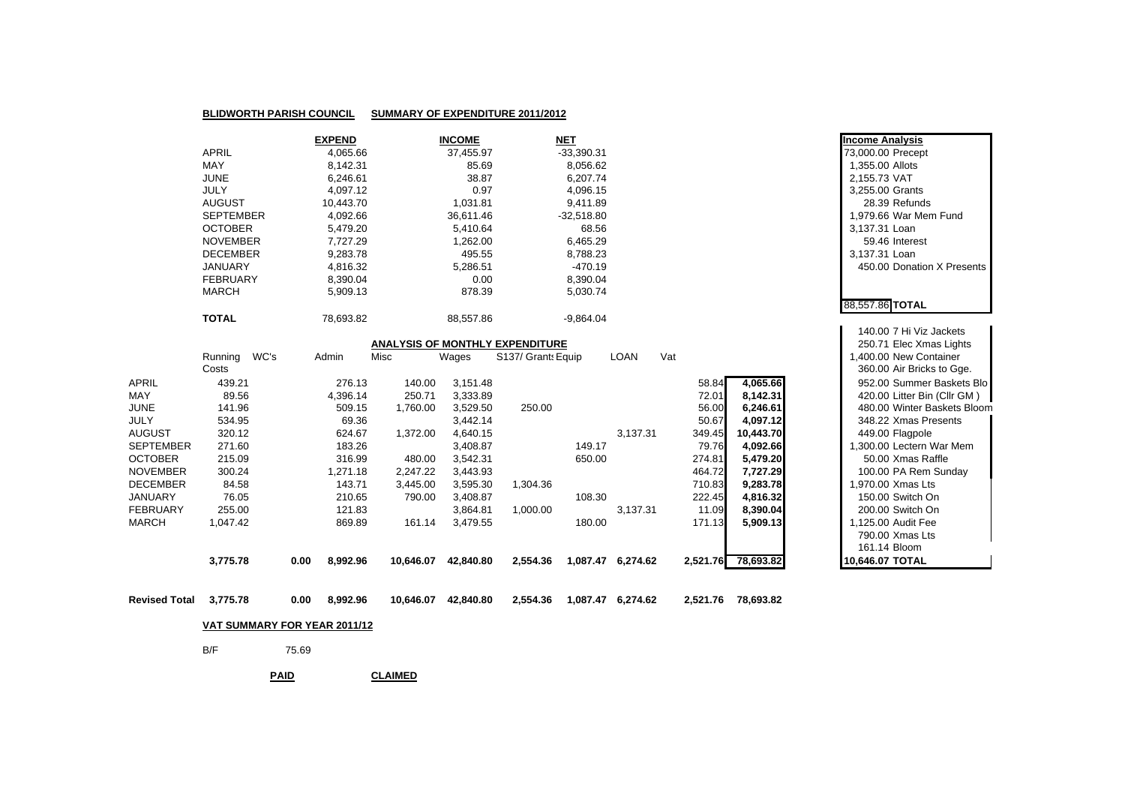| <b>BLIDWORTH PARISH COUNCIL</b> | SUMMARY OF EXPENDITURE 2011/2012 |
|---------------------------------|----------------------------------|
|                                 |                                  |

|                  | <b>EXPEND</b> | <b>INCOME</b> | <u>NET</u>   | <b>Income Analysis</b>     |
|------------------|---------------|---------------|--------------|----------------------------|
| <b>APRIL</b>     | 4,065.66      | 37.455.97     | $-33,390.31$ | 73,000.00 Precept          |
| <b>MAY</b>       | 8.142.31      | 85.69         | 8,056.62     | 1,355.00 Allots            |
| <b>JUNE</b>      | 6.246.61      | 38.87         | 6.207.74     | 2.155.73 VAT               |
| <b>JULY</b>      | 4.097.12      | 0.97          | 4,096.15     | 3.255.00 Grants            |
| AUGUST           | 10.443.70     | 1.031.81      | 9,411.89     | 28.39 Refunds              |
| <b>SEPTEMBER</b> | 4,092.66      | 36.611.46     | $-32.518.80$ | 1.979.66 War Mem Fund      |
| <b>OCTOBER</b>   | 5.479.20      | 5.410.64      | 68.56        | 3.137.31 Loan              |
| <b>NOVEMBER</b>  | 7.727.29      | .262.00       | 6,465.29     | 59.46 Interest             |
| <b>DECEMBER</b>  | 9.283.78      | 495.55        | 8,788.23     | 3.137.31 Loan              |
| <b>JANUARY</b>   | 4.816.32      | 5.286.51      | -470.19      | 450.00 Donation X Presents |
| <b>FEBRUARY</b>  | 8.390.04      | 0.00          | 8,390.04     |                            |
| <b>MARCH</b>     | 5,909.13      | 878.39        | 5.030.74     |                            |
|                  |               |               |              | 88.557.86 TOTAL            |
| <b>TOTAL</b>     | 78.693.82     | 88.557.86     | $-9.864.04$  |                            |

| <b>ANALYSIS OF MONTHLY EXPENDITURE</b> |          |      |                  |           |           |                    |          |             |          | 250.71 Elec Xmas Lights |  |                 |                             |
|----------------------------------------|----------|------|------------------|-----------|-----------|--------------------|----------|-------------|----------|-------------------------|--|-----------------|-----------------------------|
|                                        | Running  | WC's | Admin            | Misc      | Wages     | S137/ Grants Equip |          | <b>LOAN</b> | Vat      |                         |  |                 | .400.00 New Container       |
|                                        | Costs    |      |                  |           |           |                    |          |             |          |                         |  |                 | 360.00 Air Bricks to Gge.   |
| <b>APRIL</b>                           | 439.21   |      | 276.13           | 140.00    | 3,151.48  |                    |          |             | 58.84    | 4,065.66                |  |                 | 952.00 Summer Baskets Blo   |
| MAY                                    | 89.56    |      | 4,396.14         | 250.71    | 3,333.89  |                    |          |             | 72.01    | 8,142.31                |  |                 | 420.00 Litter Bin (Cllr GM) |
| <b>JUNE</b>                            | 141.96   |      | 509.15           | 1,760.00  | 3,529.50  | 250.00             |          |             | 56.00    | 6,246.61                |  |                 | 480.00 Winter Baskets Bloom |
| JULY                                   | 534.95   |      | 69.36            |           | 3,442.14  |                    |          |             | 50.67    | 4,097.12                |  |                 | 348.22 Xmas Presents        |
| <b>AUGUST</b>                          | 320.12   |      | 624.67           | 1,372.00  | 4.640.15  |                    |          | 3.137.31    | 349.45   | 10,443.70               |  |                 | 449.00 Flagpole             |
| <b>SEPTEMBER</b>                       | 271.60   |      | 183.26           |           | 3,408.87  |                    | 149.17   |             | 79.76    | 4,092.66                |  |                 | 1,300.00 Lectern War Mem    |
| <b>OCTOBER</b>                         | 215.09   |      | 316.99           | 480.00    | 3.542.31  |                    | 650.00   |             | 274.81   | 5,479.20                |  |                 | 50.00 Xmas Raffle           |
| <b>NOVEMBER</b>                        | 300.24   |      | 1.271.18         | 2.247.22  | 3.443.93  |                    |          |             | 464.72   | 7,727.29                |  |                 | 100.00 PA Rem Sunday        |
| <b>DECEMBER</b>                        | 84.58    |      | 143.71           | 3,445.00  | 3.595.30  | 1,304.36           |          |             | 710.83   | 9,283.78                |  |                 | 1.970.00 Xmas Lts           |
| JANUARY                                | 76.05    |      | 210.65           | 790.00    | 3.408.87  |                    | 108.30   |             | 222.45   | 4,816.32                |  |                 | 150.00 Switch On            |
| <b>FEBRUARY</b>                        | 255.00   |      | 121.83           |           | 3,864.81  | 1,000.00           |          | 3,137.31    | 11.09    | 8,390.04                |  |                 | 200.00 Switch On            |
| <b>MARCH</b>                           | 1,047.42 |      | 869.89           | 161.14    | 3.479.55  |                    | 180.00   |             | 171.13   | 5,909.13                |  |                 | 1,125.00 Audit Fee          |
|                                        |          |      |                  |           |           |                    |          |             |          |                         |  |                 | 790.00 Xmas Lts             |
|                                        |          |      |                  |           |           |                    |          |             |          |                         |  |                 | 161.14 Bloom                |
|                                        | 3,775.78 |      | 8,992.96<br>0.00 | 10.646.07 | 42.840.80 | 2,554.36           | 1.087.47 | 6.274.62    | 2,521.76 | 78.693.82               |  | 10,646.07 TOTAL |                             |

**Revised Total3,775.78 0.00 8,992.96 10,646.07 42,840.80 2,554.36 1,087.47 6,274.62 2,521.76 78,693.82**

## **VAT SUMMARY FOR YEAR 2011/12**

75.69

B/F

**PAIDCLAIMED**

| 73,000.00 Precept<br>1,355.00 Allots<br>2,155.73 VAT<br>3,255.00 Grants<br>3,137.31 Loan | 28.39 Refunds<br>1,979.66 War Mem Fund<br>59.46 Interest                                                                               |
|------------------------------------------------------------------------------------------|----------------------------------------------------------------------------------------------------------------------------------------|
| 3,137.31 Loan                                                                            |                                                                                                                                        |
|                                                                                          | 450.00 Donation X Presents                                                                                                             |
|                                                                                          |                                                                                                                                        |
| 88,557.86 TOTAL                                                                          |                                                                                                                                        |
|                                                                                          |                                                                                                                                        |
|                                                                                          | 140.00 7 Hi Viz Jackets<br>250.71 Elec Xmas Lights<br>1,400.00 New Container<br>360.00 Air Bricks to Gge.<br>952.00 Summer Baskets Blo |
|                                                                                          | 420.00 Litter Bin (Cllr GM)                                                                                                            |
|                                                                                          | 480.00 Winter Baskets Bloom                                                                                                            |
|                                                                                          | 348.22 Xmas Presents                                                                                                                   |
|                                                                                          | 449.00 Flagpole                                                                                                                        |
|                                                                                          | 1,300.00 Lectern War Mem<br>50.00 Xmas Raffle                                                                                          |
|                                                                                          | 100.00 PA Rem Sunday                                                                                                                   |
|                                                                                          | 1,970.00 Xmas Lts                                                                                                                      |
|                                                                                          | 150.00 Switch On                                                                                                                       |
|                                                                                          | 200.00 Switch On                                                                                                                       |
|                                                                                          | 1,125.00 Audit Fee                                                                                                                     |
|                                                                                          | 790.00 Xmas Lts                                                                                                                        |
| 161.14 Bloom                                                                             |                                                                                                                                        |
| 10,646.07 TOTAL                                                                          |                                                                                                                                        |

**Income Analysis**